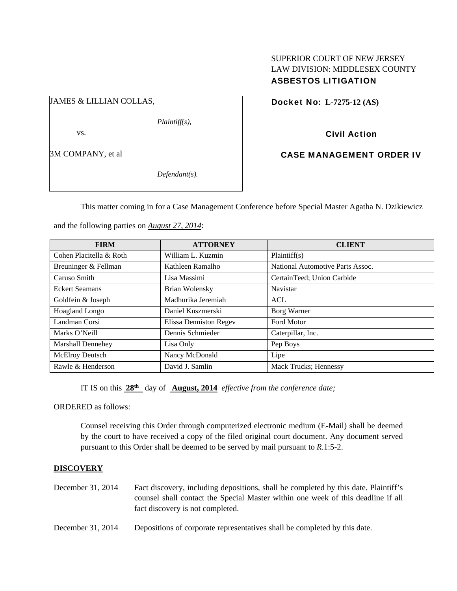## SUPERIOR COURT OF NEW JERSEY LAW DIVISION: MIDDLESEX COUNTY ASBESTOS LITIGATION

JAMES & LILLIAN COLLAS,

*Plaintiff(s),* 

vs.

3M COMPANY, et al

*Defendant(s).* 

Docket No: **L-7275-12 (AS)** 

Civil Action

CASE MANAGEMENT ORDER IV

This matter coming in for a Case Management Conference before Special Master Agatha N. Dzikiewicz

and the following parties on *August 27, 2014*:

| <b>FIRM</b>              | <b>ATTORNEY</b>        | <b>CLIENT</b>                    |
|--------------------------|------------------------|----------------------------------|
| Cohen Placitella & Roth  | William L. Kuzmin      | Plaintiff(s)                     |
| Breuninger & Fellman     | Kathleen Ramalho       | National Automotive Parts Assoc. |
| Caruso Smith             | Lisa Massimi           | CertainTeed; Union Carbide       |
| <b>Eckert Seamans</b>    | <b>Brian Wolensky</b>  | Navistar                         |
| Goldfein & Joseph        | Madhurika Jeremiah     | ACL                              |
| Hoagland Longo           | Daniel Kuszmerski      | Borg Warner                      |
| Landman Corsi            | Elissa Denniston Regev | <b>Ford Motor</b>                |
| Marks O'Neill            | Dennis Schmieder       | Caterpillar, Inc.                |
| <b>Marshall Dennehey</b> | Lisa Only              | Pep Boys                         |
| McElroy Deutsch          | Nancy McDonald         | Lipe                             |
| Rawle & Henderson        | David J. Samlin        | Mack Trucks; Hennessy            |

IT IS on this **28th** day of **August, 2014** *effective from the conference date;*

ORDERED as follows:

Counsel receiving this Order through computerized electronic medium (E-Mail) shall be deemed by the court to have received a copy of the filed original court document. Any document served pursuant to this Order shall be deemed to be served by mail pursuant to *R*.1:5-2.

## **DISCOVERY**

- December 31, 2014 Fact discovery, including depositions, shall be completed by this date. Plaintiff's counsel shall contact the Special Master within one week of this deadline if all fact discovery is not completed.
- December 31, 2014 Depositions of corporate representatives shall be completed by this date.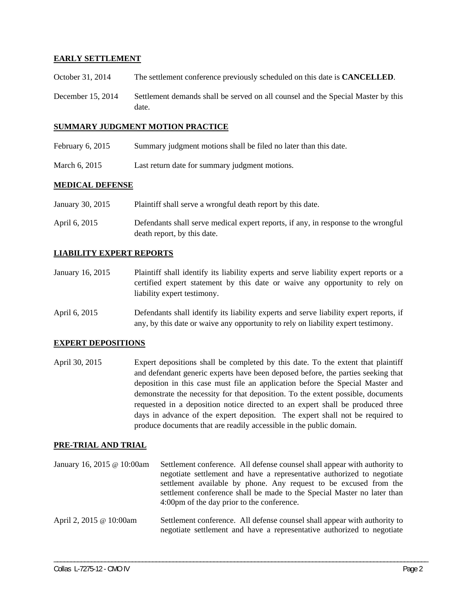## **EARLY SETTLEMENT**

- October 31, 2014 The settlement conference previously scheduled on this date is **CANCELLED**.
- December 15, 2014 Settlement demands shall be served on all counsel and the Special Master by this date.

#### **SUMMARY JUDGMENT MOTION PRACTICE**

- February 6, 2015 Summary judgment motions shall be filed no later than this date.
- March 6, 2015 Last return date for summary judgment motions.

### **MEDICAL DEFENSE**

| January 30, 2015 | Plaintiff shall serve a wrongful death report by this date.                        |
|------------------|------------------------------------------------------------------------------------|
| April 6, 2015    | Defendants shall serve medical expert reports, if any, in response to the wrongful |
|                  | death report, by this date.                                                        |

### **LIABILITY EXPERT REPORTS**

- January 16, 2015 Plaintiff shall identify its liability experts and serve liability expert reports or a certified expert statement by this date or waive any opportunity to rely on liability expert testimony.
- April 6, 2015 Defendants shall identify its liability experts and serve liability expert reports, if any, by this date or waive any opportunity to rely on liability expert testimony.

### **EXPERT DEPOSITIONS**

April 30, 2015 Expert depositions shall be completed by this date. To the extent that plaintiff and defendant generic experts have been deposed before, the parties seeking that deposition in this case must file an application before the Special Master and demonstrate the necessity for that deposition. To the extent possible, documents requested in a deposition notice directed to an expert shall be produced three days in advance of the expert deposition. The expert shall not be required to produce documents that are readily accessible in the public domain.

### **PRE-TRIAL AND TRIAL**

January 16, 2015 @ 10:00am Settlement conference. All defense counsel shall appear with authority to negotiate settlement and have a representative authorized to negotiate settlement available by phone. Any request to be excused from the settlement conference shall be made to the Special Master no later than 4:00pm of the day prior to the conference. April 2, 2015 @ 10:00am Settlement conference. All defense counsel shall appear with authority to negotiate settlement and have a representative authorized to negotiate

\_\_\_\_\_\_\_\_\_\_\_\_\_\_\_\_\_\_\_\_\_\_\_\_\_\_\_\_\_\_\_\_\_\_\_\_\_\_\_\_\_\_\_\_\_\_\_\_\_\_\_\_\_\_\_\_\_\_\_\_\_\_\_\_\_\_\_\_\_\_\_\_\_\_\_\_\_\_\_\_\_\_\_\_\_\_\_\_\_\_\_\_\_\_\_\_\_\_\_\_\_\_\_\_\_\_\_\_\_\_